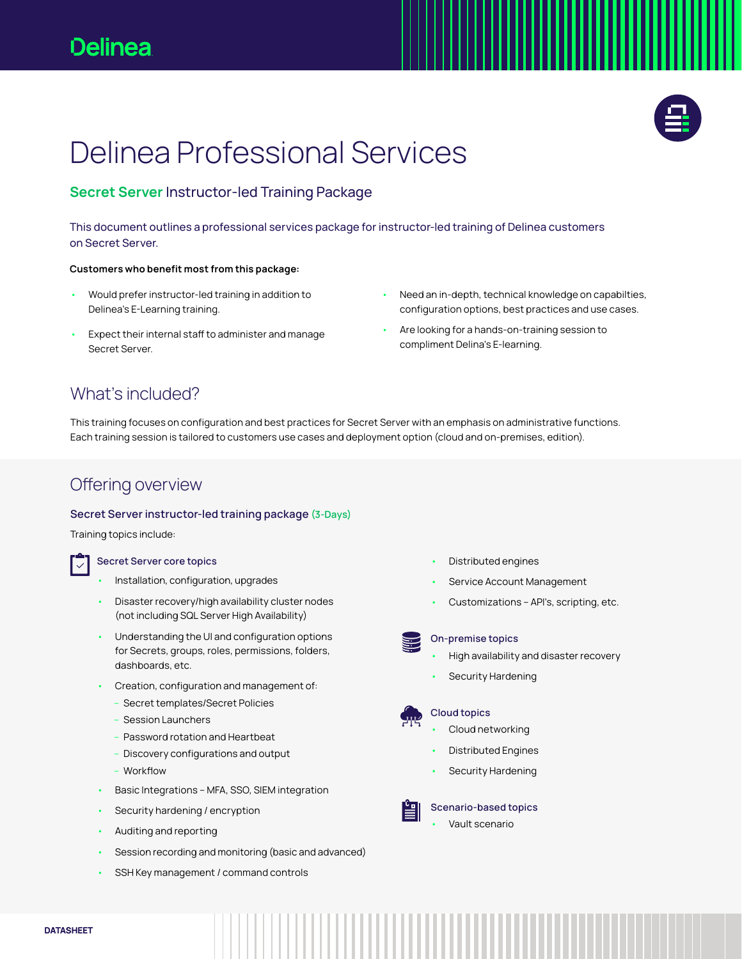

# Delinea Professional Services

### Secret Server Instructor-led Training Package

This document outlines a professional services package for instructor-led training of Delinea customers on Secret Server.

### Customers who benefit most from this package:

- Would prefer instructor-led training in addition to Delinea's E-Learning training.
- Expect their internal staff to administer and manage Secret Server.
- Need an in-depth, technical knowledge on capabilties, configuration options, best practices and use cases.
- Are looking for a hands-on-training session to compliment Delina's E-learning.

### What's included?

This training focuses on configuration and best practices for Secret Server with an emphasis on administrative functions. Each training session is tailored to customers use cases and deployment option (cloud and on-premises, edition).

### Offering overview

#### Secret Server instructor-led training package (3-Days)

Training topics include:

#### Secret Server core topics

- Installation, configuration, upgrades
- Disaster recovery/high availability cluster nodes (not including SQL Server High Availability)
- Understanding the UI and configuration options for Secrets, groups, roles, permissions, folders, dashboards, etc.
- Creation, configuration and management of:
	- Secret templates/Secret Policies
	- Session Launchers
	- Password rotation and Heartbeat
	- Discovery configurations and output
	- Workflow
- Basic Integrations MFA, SSO, SIEM integration
- Security hardening / encryption
- Auditing and reporting
- Session recording and monitoring (basic and advanced)
- SSH Key management / command controls
- Distributed engines
- Service Account Management
- Customizations API's, scripting, etc.



#### On-premise topics

- High availability and disaster recovery
- Security Hardening

### Cloud topics

- Cloud networking
- Distributed Engines
- Security Hardening



Scenario-based topics • Vault scenario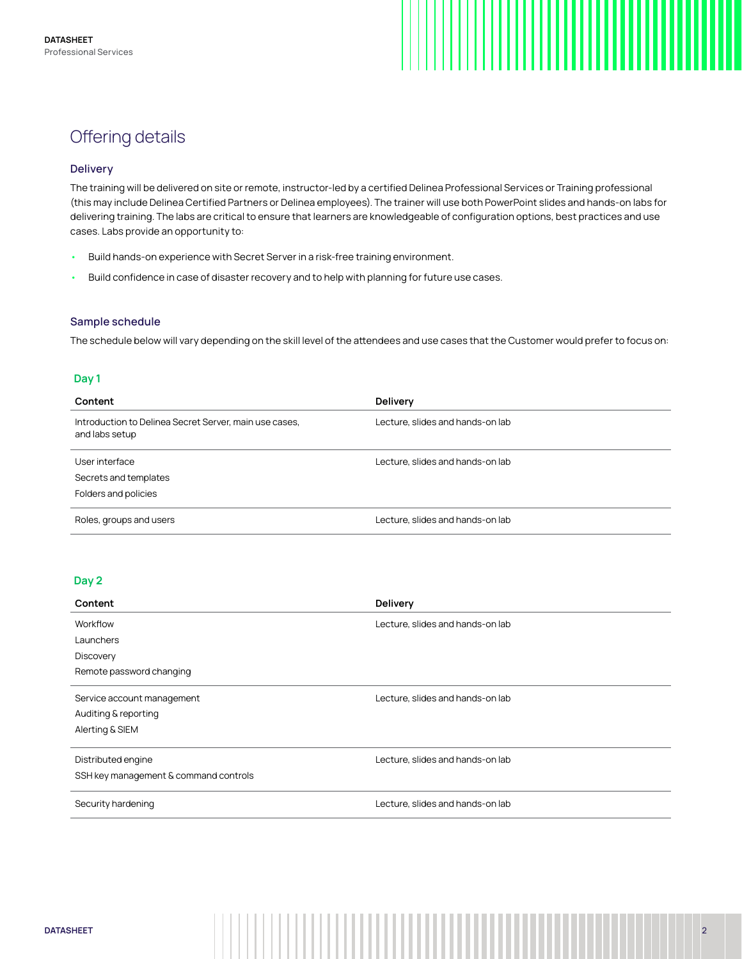

### Offering details

### **Delivery**

The training will be delivered on site or remote, instructor-led by a certified Delinea Professional Services or Training professional (this may include Delinea Certified Partners or Delinea employees). The trainer will use both PowerPoint slides and hands-on labs for delivering training. The labs are critical to ensure that learners are knowledgeable of configuration options, best practices and use cases. Labs provide an opportunity to:

- Build hands-on experience with Secret Server in a risk-free training environment.
- Build confidence in case of disaster recovery and to help with planning for future use cases.

#### Sample schedule

The schedule below will vary depending on the skill level of the attendees and use cases that the Customer would prefer to focus on:

### Day 1

| Content                                                                  | <b>Delivery</b>                  |
|--------------------------------------------------------------------------|----------------------------------|
| Introduction to Delinea Secret Server, main use cases,<br>and labs setup | Lecture, slides and hands-on lab |
| User interface                                                           | Lecture, slides and hands-on lab |
| Secrets and templates                                                    |                                  |
| Folders and policies                                                     |                                  |
| Roles, groups and users                                                  | Lecture, slides and hands-on lab |

### Day 2

| Content                               | Delivery                         |
|---------------------------------------|----------------------------------|
| Workflow                              | Lecture, slides and hands-on lab |
| Launchers                             |                                  |
| <b>Discovery</b>                      |                                  |
| Remote password changing              |                                  |
| Service account management            | Lecture, slides and hands-on lab |
| Auditing & reporting                  |                                  |
| Alerting & SIEM                       |                                  |
| Distributed engine                    | Lecture, slides and hands-on lab |
|                                       |                                  |
| SSH key management & command controls |                                  |
| Security hardening                    | Lecture, slides and hands-on lab |